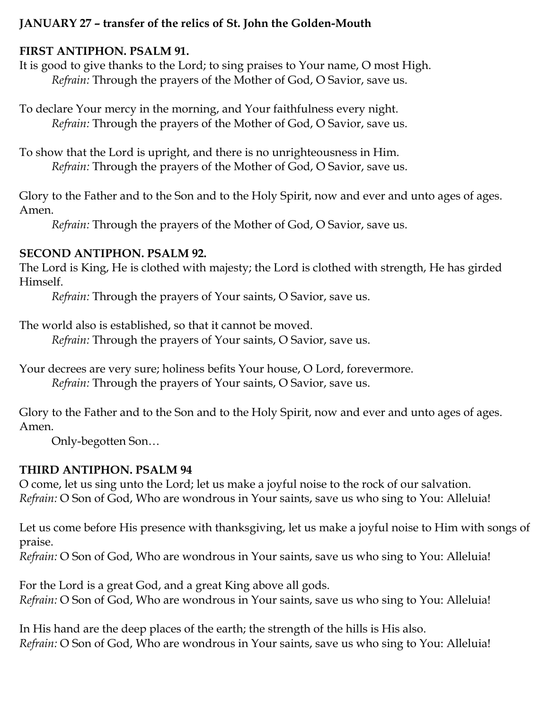### **JANUARY 27 – transfer of the relics of St. John the Golden-Mouth**

## **FIRST ANTIPHON. PSALM 91.**

It is good to give thanks to the Lord; to sing praises to Your name, O most High. *Refrain:* Through the prayers of the Mother of God, O Savior, save us.

To declare Your mercy in the morning, and Your faithfulness every night. *Refrain:* Through the prayers of the Mother of God, O Savior, save us.

To show that the Lord is upright, and there is no unrighteousness in Him. *Refrain:* Through the prayers of the Mother of God, O Savior, save us.

Glory to the Father and to the Son and to the Holy Spirit, now and ever and unto ages of ages. Amen.

*Refrain:* Through the prayers of the Mother of God, O Savior, save us.

## **SECOND ANTIPHON. PSALM 92.**

The Lord is King, He is clothed with majesty; the Lord is clothed with strength, He has girded Himself.

*Refrain:* Through the prayers of Your saints, O Savior, save us.

The world also is established, so that it cannot be moved.

*Refrain:* Through the prayers of Your saints, O Savior, save us.

Your decrees are very sure; holiness befits Your house, O Lord, forevermore. *Refrain:* Through the prayers of Your saints, O Savior, save us.

Glory to the Father and to the Son and to the Holy Spirit, now and ever and unto ages of ages. Amen.

Only-begotten Son…

# **THIRD ANTIPHON. PSALM 94**

O come, let us sing unto the Lord; let us make a joyful noise to the rock of our salvation. *Refrain:* O Son of God, Who are wondrous in Your saints, save us who sing to You: Alleluia!

Let us come before His presence with thanksgiving, let us make a joyful noise to Him with songs of praise.

*Refrain:* O Son of God, Who are wondrous in Your saints, save us who sing to You: Alleluia!

For the Lord is a great God, and a great King above all gods. *Refrain:* O Son of God, Who are wondrous in Your saints, save us who sing to You: Alleluia!

In His hand are the deep places of the earth; the strength of the hills is His also. *Refrain:* O Son of God, Who are wondrous in Your saints, save us who sing to You: Alleluia!